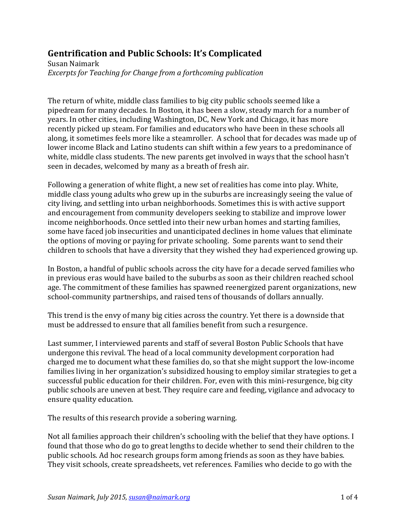## **Gentrification and Public Schools: It's Complicated**

Susan Naimark *Excerpts for Teaching for Change from a forthcoming publication* 

The return of white, middle class families to big city public schools seemed like a pipedream for many decades. In Boston, it has been a slow, steady march for a number of years. In other cities, including Washington, DC, New York and Chicago, it has more recently picked up steam. For families and educators who have been in these schools all along, it sometimes feels more like a steamroller. A school that for decades was made up of lower income Black and Latino students can shift within a few years to a predominance of white, middle class students. The new parents get involved in ways that the school hasn't seen in decades, welcomed by many as a breath of fresh air.

Following a generation of white flight, a new set of realities has come into play. White, middle class young adults who grew up in the suburbs are increasingly seeing the value of city living, and settling into urban neighborhoods. Sometimes this is with active support and encouragement from community developers seeking to stabilize and improve lower income neighborhoods. Once settled into their new urban homes and starting families, some have faced job insecurities and unanticipated declines in home values that eliminate the options of moving or paying for private schooling. Some parents want to send their children to schools that have a diversity that they wished they had experienced growing up.

In Boston, a handful of public schools across the city have for a decade served families who in previous eras would have bailed to the suburbs as soon as their children reached school age. The commitment of these families has spawned reenergized parent organizations, new school-community partnerships, and raised tens of thousands of dollars annually.

This trend is the envy of many big cities across the country. Yet there is a downside that must be addressed to ensure that all families benefit from such a resurgence.

Last summer, I interviewed parents and staff of several Boston Public Schools that have undergone this revival. The head of a local community development corporation had charged me to document what these families do, so that she might support the low-income families living in her organization's subsidized housing to employ similar strategies to get a successful public education for their children. For, even with this mini-resurgence, big city public schools are uneven at best. They require care and feeding, vigilance and advocacy to ensure quality education.

The results of this research provide a sobering warning.

Not all families approach their children's schooling with the belief that they have options. I found that those who do go to great lengths to decide whether to send their children to the public schools. Ad hoc research groups form among friends as soon as they have babies. They visit schools, create spreadsheets, vet references. Families who decide to go with the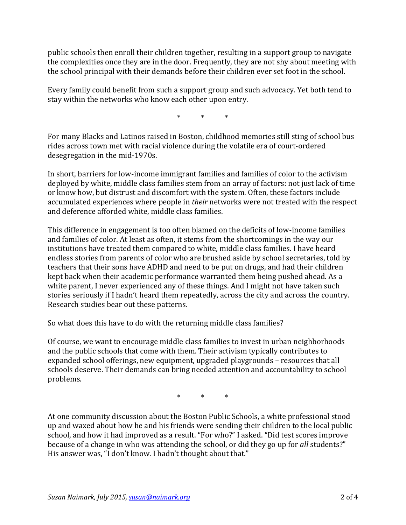public schools then enroll their children together, resulting in a support group to navigate the complexities once they are in the door. Frequently, they are not shy about meeting with the school principal with their demands before their children ever set foot in the school.

Every family could benefit from such a support group and such advocacy. Yet both tend to stay within the networks who know each other upon entry.

\* \* \*

For many Blacks and Latinos raised in Boston, childhood memories still sting of school bus rides across town met with racial violence during the volatile era of court-ordered desegregation in the mid-1970s.

In short, barriers for low-income immigrant families and families of color to the activism deployed by white, middle class families stem from an array of factors: not just lack of time or know how, but distrust and discomfort with the system. Often, these factors include accumulated experiences where people in *their* networks were not treated with the respect and deference afforded white, middle class families.

This difference in engagement is too often blamed on the deficits of low-income families and families of color. At least as often, it stems from the shortcomings in the way our institutions have treated them compared to white, middle class families. I have heard endless stories from parents of color who are brushed aside by school secretaries, told by teachers that their sons have ADHD and need to be put on drugs, and had their children kept back when their academic performance warranted them being pushed ahead. As a white parent, I never experienced any of these things. And I might not have taken such stories seriously if I hadn't heard them repeatedly, across the city and across the country. Research studies bear out these patterns.

So what does this have to do with the returning middle class families?

Of course, we want to encourage middle class families to invest in urban neighborhoods and the public schools that come with them. Their activism typically contributes to expanded school offerings, new equipment, upgraded playgrounds – resources that all schools deserve. Their demands can bring needed attention and accountability to school problems.

\* \* \*

At one community discussion about the Boston Public Schools, a white professional stood up and waxed about how he and his friends were sending their children to the local public school, and how it had improved as a result. "For who?" I asked. "Did test scores improve because of a change in who was attending the school, or did they go up for *all* students?" His answer was, "I don't know. I hadn't thought about that."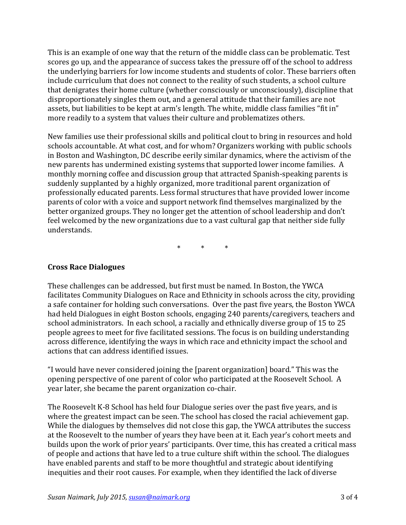This is an example of one way that the return of the middle class can be problematic. Test scores go up, and the appearance of success takes the pressure off of the school to address the underlying barriers for low income students and students of color. These barriers often include curriculum that does not connect to the reality of such students, a school culture that denigrates their home culture (whether consciously or unconsciously), discipline that disproportionately singles them out, and a general attitude that their families are not assets, but liabilities to be kept at arm's length. The white, middle class families "fit in" more readily to a system that values their culture and problematizes others.

New families use their professional skills and political clout to bring in resources and hold schools accountable. At what cost, and for whom? Organizers working with public schools in Boston and Washington, DC describe eerily similar dynamics, where the activism of the new parents has undermined existing systems that supported lower income families. A monthly morning coffee and discussion group that attracted Spanish-speaking parents is suddenly supplanted by a highly organized, more traditional parent organization of professionally educated parents. Less formal structures that have provided lower income parents of color with a voice and support network find themselves marginalized by the better organized groups. They no longer get the attention of school leadership and don't feel welcomed by the new organizations due to a vast cultural gap that neither side fully understands.

\* \* \*

## **Cross Race Dialogues**

These challenges can be addressed, but first must be named. In Boston, the YWCA facilitates Community Dialogues on Race and Ethnicity in schools across the city, providing a safe container for holding such conversations. Over the past five years, the Boston YWCA had held Dialogues in eight Boston schools, engaging 240 parents/caregivers, teachers and school administrators. In each school, a racially and ethnically diverse group of 15 to 25 people agrees to meet for five facilitated sessions. The focus is on building understanding across difference, identifying the ways in which race and ethnicity impact the school and actions that can address identified issues.

"I would have never considered joining the [parent organization] board." This was the opening perspective of one parent of color who participated at the Roosevelt School. A year later, she became the parent organization co-chair.

The Roosevelt K-8 School has held four Dialogue series over the past five years, and is where the greatest impact can be seen. The school has closed the racial achievement gap. While the dialogues by themselves did not close this gap, the YWCA attributes the success at the Roosevelt to the number of years they have been at it. Each year's cohort meets and builds upon the work of prior years' participants. Over time, this has created a critical mass of people and actions that have led to a true culture shift within the school. The dialogues have enabled parents and staff to be more thoughtful and strategic about identifying inequities and their root causes. For example, when they identified the lack of diverse